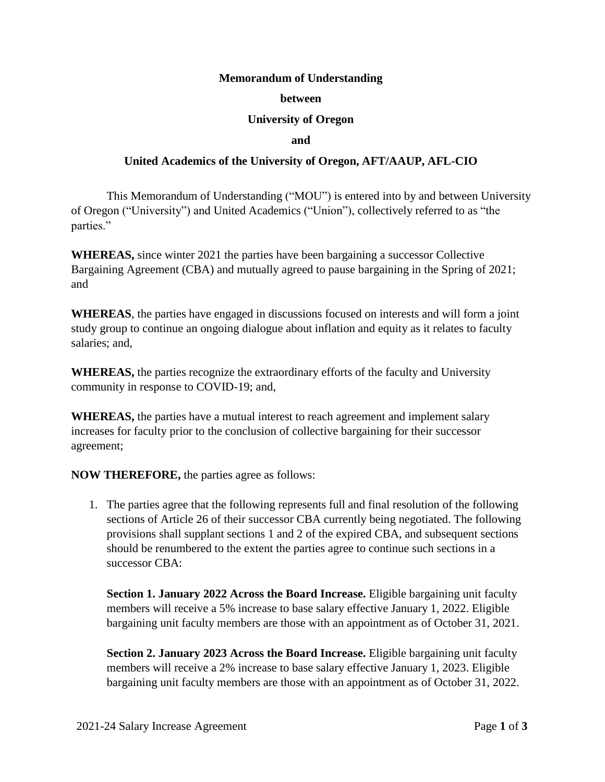## **Memorandum of Understanding**

### **between**

## **University of Oregon**

#### **and**

# **United Academics of the University of Oregon, AFT/AAUP, AFL-CIO**

This Memorandum of Understanding ("MOU") is entered into by and between University of Oregon ("University") and United Academics ("Union"), collectively referred to as "the parties."

**WHEREAS,** since winter 2021 the parties have been bargaining a successor Collective Bargaining Agreement (CBA) and mutually agreed to pause bargaining in the Spring of 2021; and

**WHEREAS**, the parties have engaged in discussions focused on interests and will form a joint study group to continue an ongoing dialogue about inflation and equity as it relates to faculty salaries; and,

**WHEREAS,** the parties recognize the extraordinary efforts of the faculty and University community in response to COVID-19; and,

**WHEREAS,** the parties have a mutual interest to reach agreement and implement salary increases for faculty prior to the conclusion of collective bargaining for their successor agreement;

**NOW THEREFORE,** the parties agree as follows:

1. The parties agree that the following represents full and final resolution of the following sections of Article 26 of their successor CBA currently being negotiated. The following provisions shall supplant sections 1 and 2 of the expired CBA, and subsequent sections should be renumbered to the extent the parties agree to continue such sections in a successor CBA:

**Section 1. January 2022 Across the Board Increase.** Eligible bargaining unit faculty members will receive a 5% increase to base salary effective January 1, 2022. Eligible bargaining unit faculty members are those with an appointment as of October 31, 2021.

**Section 2. January 2023 Across the Board Increase.** Eligible bargaining unit faculty members will receive a 2% increase to base salary effective January 1, 2023. Eligible bargaining unit faculty members are those with an appointment as of October 31, 2022.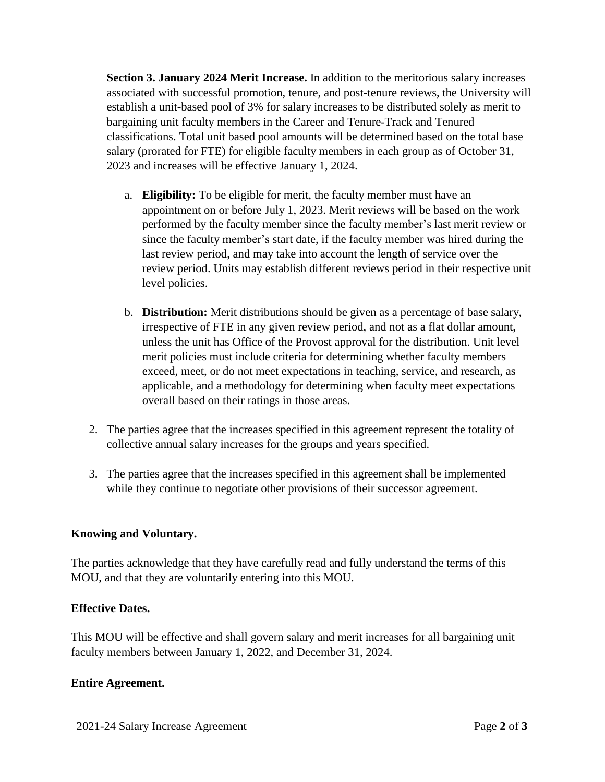**Section 3. January 2024 Merit Increase.** In addition to the meritorious salary increases associated with successful promotion, tenure, and post-tenure reviews, the University will establish a unit-based pool of 3% for salary increases to be distributed solely as merit to bargaining unit faculty members in the Career and Tenure-Track and Tenured classifications. Total unit based pool amounts will be determined based on the total base salary (prorated for FTE) for eligible faculty members in each group as of October 31, 2023 and increases will be effective January 1, 2024.

- a. **Eligibility:** To be eligible for merit, the faculty member must have an appointment on or before July 1, 2023. Merit reviews will be based on the work performed by the faculty member since the faculty member's last merit review or since the faculty member's start date, if the faculty member was hired during the last review period, and may take into account the length of service over the review period. Units may establish different reviews period in their respective unit level policies.
- b. **Distribution:** Merit distributions should be given as a percentage of base salary, irrespective of FTE in any given review period, and not as a flat dollar amount, unless the unit has Office of the Provost approval for the distribution. Unit level merit policies must include criteria for determining whether faculty members exceed, meet, or do not meet expectations in teaching, service, and research, as applicable, and a methodology for determining when faculty meet expectations overall based on their ratings in those areas.
- 2. The parties agree that the increases specified in this agreement represent the totality of collective annual salary increases for the groups and years specified.
- 3. The parties agree that the increases specified in this agreement shall be implemented while they continue to negotiate other provisions of their successor agreement.

# **Knowing and Voluntary.**

The parties acknowledge that they have carefully read and fully understand the terms of this MOU, and that they are voluntarily entering into this MOU.

## **Effective Dates.**

This MOU will be effective and shall govern salary and merit increases for all bargaining unit faculty members between January 1, 2022, and December 31, 2024.

## **Entire Agreement.**